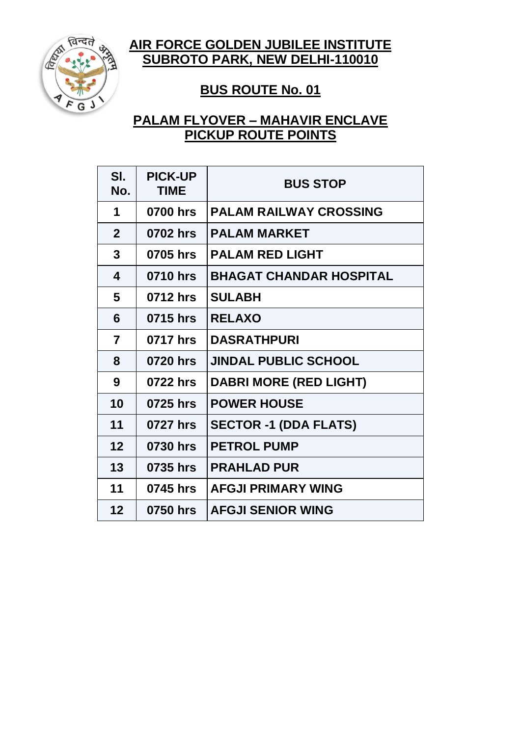**AIR FORCE GOLDEN JUBILEE INSTITUTE SUBROTO PARK, NEW DELHI-110010**



#### **BUS ROUTE No. 01**

# **PALAM FLYOVER – MAHAVIR ENCLAVE PICKUP ROUTE POINTS**

| SI.<br>No.     | <b>PICK-UP</b><br><b>TIME</b> | <b>BUS STOP</b>                |
|----------------|-------------------------------|--------------------------------|
| 1              | 0700 hrs                      | <b>PALAM RAILWAY CROSSING</b>  |
| $\mathbf{2}$   | 0702 hrs                      | <b>PALAM MARKET</b>            |
| 3              | 0705 hrs                      | <b>PALAM RED LIGHT</b>         |
| 4              | 0710 hrs                      | <b>BHAGAT CHANDAR HOSPITAL</b> |
| 5              | 0712 hrs                      | <b>SULABH</b>                  |
| 6              | 0715 hrs                      | <b>RELAXO</b>                  |
| $\overline{7}$ | 0717 hrs                      | <b>DASRATHPURI</b>             |
| 8              | 0720 hrs                      | <b>JINDAL PUBLIC SCHOOL</b>    |
| 9              | 0722 hrs                      | <b>DABRI MORE (RED LIGHT)</b>  |
| 10             | 0725 hrs                      | <b>POWER HOUSE</b>             |
| 11             | 0727 hrs                      | <b>SECTOR -1 (DDA FLATS)</b>   |
| 12             | 0730 hrs                      | <b>PETROL PUMP</b>             |
| 13             | 0735 hrs                      | <b>PRAHLAD PUR</b>             |
| 11             | 0745 hrs                      | <b>AFGJI PRIMARY WING</b>      |
| 12             | 0750 hrs                      | <b>AFGJI SENIOR WING</b>       |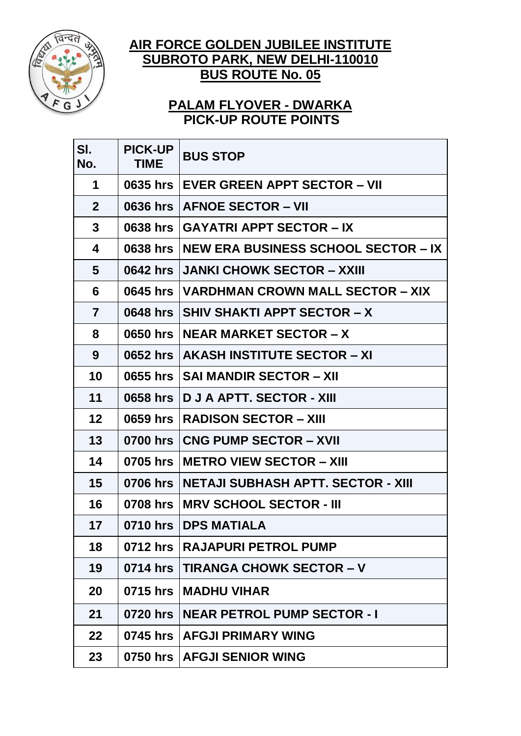

## **AIR FORCE GOLDEN JUBILEE INSTITUTE SUBROTO PARK, NEW DELHI-110010 BUS ROUTE No. 05**

# **PALAM FLYOVER - DWARKA PICK-UP ROUTE POINTS**

| SI.<br>No.     | <b>PICK-UP</b><br><b>TIME</b> | <b>BUS STOP</b>                            |  |
|----------------|-------------------------------|--------------------------------------------|--|
| 1              | 0635 hrs                      | <b>EVER GREEN APPT SECTOR - VII</b>        |  |
| $\mathbf{2}$   | 0636 hrs                      | <b>AFNOE SECTOR - VII</b>                  |  |
| 3              | 0638 hrs                      | <b>GAYATRI APPT SECTOR - IX</b>            |  |
| 4              | 0638 hrs                      | <b>NEW ERA BUSINESS SCHOOL SECTOR – IX</b> |  |
| 5              | 0642 hrs                      | <b>JANKI CHOWK SECTOR – XXIII</b>          |  |
| 6              | 0645 hrs                      | VARDHMAN CROWN MALL SECTOR – XIX           |  |
| $\overline{7}$ | 0648 hrs                      | <b>SHIV SHAKTI APPT SECTOR - X</b>         |  |
| 8              | 0650 hrs                      | <b>NEAR MARKET SECTOR – X</b>              |  |
| 9              | 0652 hrs                      | AKASH INSTITUTE SECTOR - XI                |  |
| 10             | 0655 hrs                      | <b>SAI MANDIR SECTOR - XII</b>             |  |
| 11             | 0658 hrs                      | <b>D J A APTT. SECTOR - XIII</b>           |  |
| 12             | 0659 hrs                      | <b>RADISON SECTOR – XIII</b>               |  |
| 13             | 0700 hrs                      | <b>CNG PUMP SECTOR - XVII</b>              |  |
| 14             | 0705 hrs                      | <b>METRO VIEW SECTOR – XIII</b>            |  |
| 15             | 0706 hrs                      | NETAJI SUBHASH APTT. SECTOR - XIII         |  |
| 16             | 0708 hrs                      | <b>MRV SCHOOL SECTOR - III</b>             |  |
| 17             |                               | 0710 hrs   DPS MATIALA                     |  |
| 18             | 0712 hrs                      | <b>RAJAPURI PETROL PUMP</b>                |  |
| 19             | 0714 hrs                      | <b>TIRANGA CHOWK SECTOR - V</b>            |  |
| 20             | 0715 hrs                      | <b>MADHU VIHAR</b>                         |  |
| 21             | 0720 hrs                      | <b>NEAR PETROL PUMP SECTOR - I</b>         |  |
| 22             | 0745 hrs                      | <b>AFGJI PRIMARY WING</b>                  |  |
| 23             | 0750 hrs                      | <b>AFGJI SENIOR WING</b>                   |  |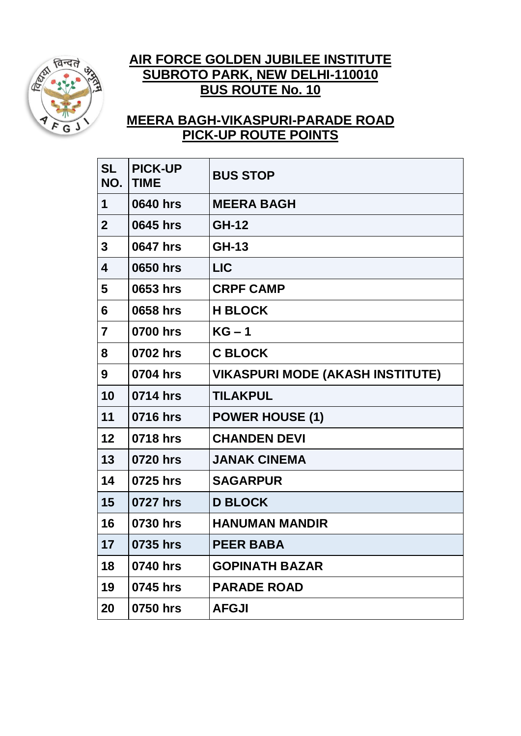

# **AIR FORCE GOLDEN JUBILEE INSTITUTE SUBROTO PARK, NEW DELHI-110010 BUS ROUTE No. 10**

# **MEERA BAGH-VIKASPURI-PARADE ROAD PICK-UP ROUTE POINTS**

| <b>SL</b><br>NO.        | <b>PICK-UP</b><br><b>TIME</b> | <b>BUS STOP</b>                         |
|-------------------------|-------------------------------|-----------------------------------------|
| 1                       | 0640 hrs                      | <b>MEERA BAGH</b>                       |
| $\overline{2}$          | 0645 hrs                      | <b>GH-12</b>                            |
| $\overline{\mathbf{3}}$ | 0647 hrs                      | <b>GH-13</b>                            |
| 4                       | 0650 hrs                      | <b>LIC</b>                              |
| 5                       | 0653 hrs                      | <b>CRPF CAMP</b>                        |
| 6                       | 0658 hrs                      | <b>H BLOCK</b>                          |
| $\overline{\mathbf{z}}$ | 0700 hrs                      | $KG-1$                                  |
| 8                       | 0702 hrs                      | <b>C BLOCK</b>                          |
| 9                       | 0704 hrs                      | <b>VIKASPURI MODE (AKASH INSTITUTE)</b> |
| 10                      | 0714 hrs                      | <b>TILAKPUL</b>                         |
| 11                      | 0716 hrs                      | <b>POWER HOUSE (1)</b>                  |
| 12                      | 0718 hrs                      | <b>CHANDEN DEVI</b>                     |
| 13                      | 0720 hrs                      | <b>JANAK CINEMA</b>                     |
| 14                      | 0725 hrs                      | <b>SAGARPUR</b>                         |
| 15                      | 0727 hrs                      | <b>D BLOCK</b>                          |
| 16                      | 0730 hrs                      | <b>HANUMAN MANDIR</b>                   |
| 17                      | 0735 hrs                      | <b>PEER BABA</b>                        |
| 18                      | 0740 hrs                      | <b>GOPINATH BAZAR</b>                   |
| 19                      | 0745 hrs                      | <b>PARADE ROAD</b>                      |
| 20                      | 0750 hrs                      | <b>AFGJI</b>                            |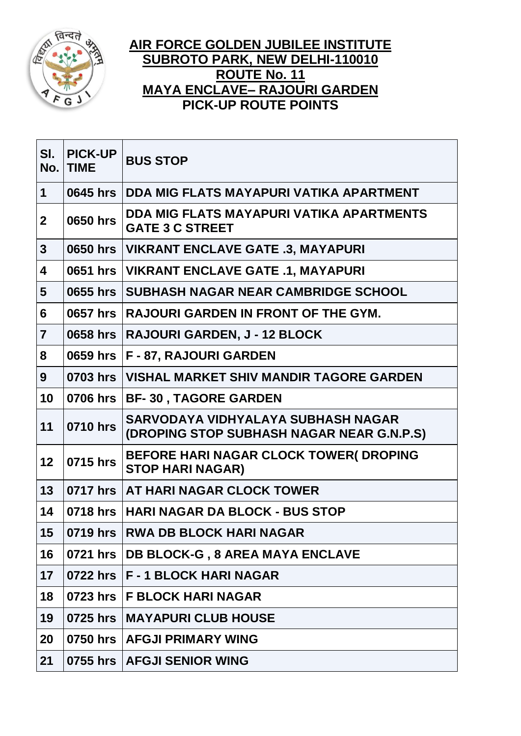

### **AIR FORCE GOLDEN JUBILEE INSTITUTE SUBROTO PARK, NEW DELHI-110010 ROUTE No. 11 MAYA ENCLAVE– RAJOURI GARDEN PICK-UP ROUTE POINTS**

| SI.<br>No.              | <b>PICK-UP</b><br><b>TIME</b> | <b>BUS STOP</b>                                                                 |  |
|-------------------------|-------------------------------|---------------------------------------------------------------------------------|--|
| $\mathbf 1$             | 0645 hrs                      | DDA MIG FLATS MAYAPURI VATIKA APARTMENT                                         |  |
| $\mathbf{2}$            | 0650 hrs                      | DDA MIG FLATS MAYAPURI VATIKA APARTMENTS<br><b>GATE 3 C STREET</b>              |  |
| $\mathbf{3}$            | 0650 hrs                      | <b>VIKRANT ENCLAVE GATE .3, MAYAPURI</b>                                        |  |
| $\overline{\mathbf{4}}$ | 0651 hrs                      | <b>VIKRANT ENCLAVE GATE .1, MAYAPURI</b>                                        |  |
| $5\phantom{1}$          | 0655 hrs                      | <b>SUBHASH NAGAR NEAR CAMBRIDGE SCHOOL</b>                                      |  |
| 6                       | 0657 hrs                      | <b>RAJOURI GARDEN IN FRONT OF THE GYM.</b>                                      |  |
| $\overline{7}$          | 0658 hrs                      | RAJOURI GARDEN, J - 12 BLOCK                                                    |  |
| 8                       | 0659 hrs                      | F-87, RAJOURI GARDEN                                                            |  |
| 9                       | 0703 hrs                      | <b>VISHAL MARKET SHIV MANDIR TAGORE GARDEN</b>                                  |  |
| 10                      | 0706 hrs                      | <b>BF-30, TAGORE GARDEN</b>                                                     |  |
| 11                      | 0710 hrs                      | SARVODAYA VIDHYALAYA SUBHASH NAGAR<br>(DROPING STOP SUBHASH NAGAR NEAR G.N.P.S) |  |
| 12                      | 0715 hrs                      | BEFORE HARI NAGAR CLOCK TOWER( DROPING<br><b>STOP HARI NAGAR)</b>               |  |
| 13                      | 0717 hrs                      | AT HARI NAGAR CLOCK TOWER                                                       |  |
| 14                      | 0718 hrs                      | <b>HARI NAGAR DA BLOCK - BUS STOP</b>                                           |  |
| 15                      | 0719 hrs                      | <b>RWA DB BLOCK HARI NAGAR</b>                                                  |  |
| 16                      | 0721 hrs                      | <b>DB BLOCK-G, 8 AREA MAYA ENCLAVE</b>                                          |  |
| 17                      | 0722 hrs                      | <b>F-1 BLOCK HARI NAGAR</b>                                                     |  |
| 18                      | 0723 hrs                      | <b>F BLOCK HARI NAGAR</b>                                                       |  |
| 19                      | 0725 hrs                      | <b>MAYAPURI CLUB HOUSE</b>                                                      |  |
| 20                      |                               | 0750 hrs   AFGJI PRIMARY WING                                                   |  |
| 21                      |                               | 0755 hrs   AFGJI SENIOR WING                                                    |  |